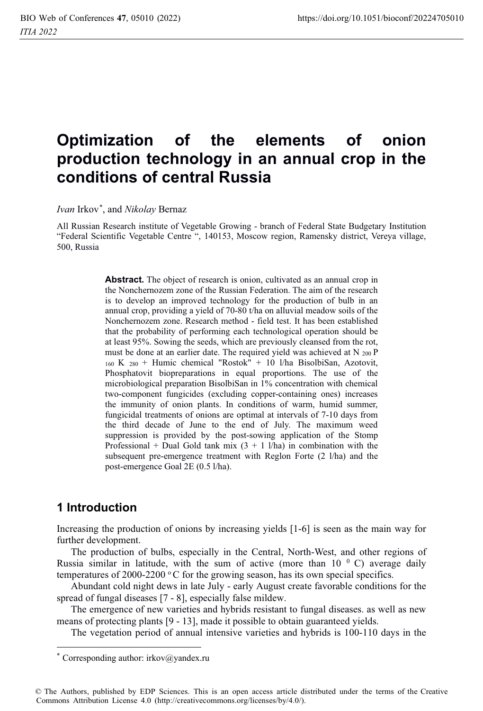# **Optimization of the elements of onion production technology in an annual crop in the conditions of central Russia**

*Ivan* Irkov\* , and *Nikolay* Bernaz

All Russian Research institute of Vegetable Growing - branch of Federal State Budgetary Institution "Federal Scientific Vegetable Centre ", 140153, Moscow region, Ramensky district, Vereya village, 500, Russia

> **Abstract.** The object of research is onion, cultivated as an annual crop in the Nonchernozem zone of the Russian Federation. The aim of the research is to develop an improved technology for the production of bulb in an annual crop, providing a yield of 70-80 t/ha on alluvial meadow soils of the Nonchernozem zone. Research method - field test. It has been established that the probability of performing each technological operation should be at least 95%. Sowing the seeds, which are previously cleansed from the rot, must be done at an earlier date. The required yield was achieved at N 200 P 160 K 280 + Humic chemical "Rostok" + 10 l/ha BisolbiSan, Azotovit, Phosphatovit biopreparations in equal proportions. The use of the microbiological preparation BisolbiSan in 1% concentration with chemical two-component fungicides (excluding copper-containing ones) increases the immunity of onion plants. In conditions of warm, humid summer, fungicidal treatments of onions are optimal at intervals of 7-10 days from the third decade of June to the end of July. The maximum weed suppression is provided by the post-sowing application of the Stomp Professional + Dual Gold tank mix  $(3 + 1)$ /ha) in combination with the subsequent pre-emergence treatment with Reglon Forte (2 l/ha) and the post-emergence Goal 2E (0.5 l/ha).

## **1 Introduction**

Increasing the production of onions by increasing yields [1-6] is seen as the main way for further development.

The production of bulbs, especially in the Central, North-West, and other regions of Russia similar in latitude, with the sum of active (more than  $10^{-0}$  C) average daily temperatures of 2000-2200  $\degree$ C for the growing season, has its own special specifics.

Abundant cold night dews in late July - early August create favorable conditions for the spread of fungal diseases [7 - 8], especially false mildew.

The emergence of new varieties and hybrids resistant to fungal diseases. as well as new means of protecting plants [9 - 13], made it possible to obtain guaranteed yields.

The vegetation period of annual intensive varieties and hybrids is 100-110 days in the

<sup>\*</sup> Corresponding author: irkov $\omega$ yandex.ru

<sup>©</sup> The Authors, published by EDP Sciences. This is an open access article distributed under the terms of the Creative Commons Attribution License 4.0 (http://creativecommons.org/licenses/by/4.0/).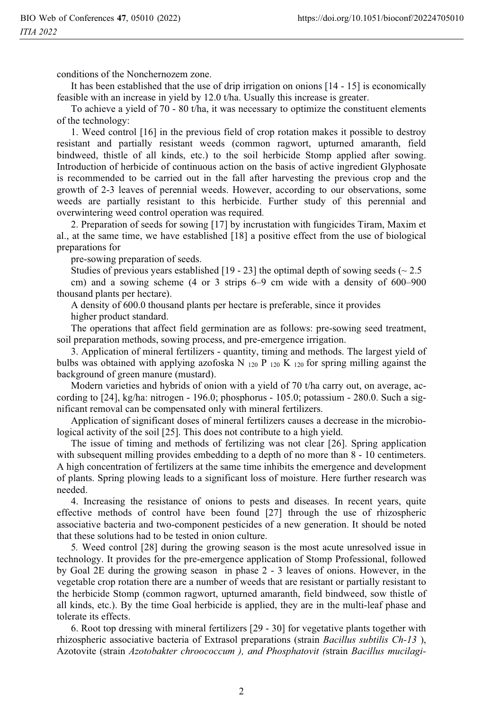conditions of the Nonchernozem zone.

It has been established that the use of drip irrigation on onions [14 - 15] is economically feasible with an increase in yield by 12.0 t/ha. Usually this increase is greater.

To achieve a yield of 70 - 80 t/ha, it was necessary to optimize the constituent elements of the technology:

1. Weed control [16] in the previous field of crop rotation makes it possible to destroy resistant and partially resistant weeds (common ragwort, upturned amaranth, field bindweed, thistle of all kinds, etc.) to the soil herbicide Stomp applied after sowing. Introduction of herbicide of continuous action on the basis of active ingredient Glyphosate is recommended to be carried out in the fall after harvesting the previous crop and the growth of 2-3 leaves of perennial weeds. However, according to our observations, some weeds are partially resistant to this herbicide. Further study of this perennial and overwintering weed control operation was required*.* 

2. Preparation of seeds for sowing [17] by incrustation with fungicides Tiram, Maxim et al., at the same time, we have established [18] a positive effect from the use of biological preparations for

pre-sowing preparation of seeds.

Studies of previous years established  $[19 - 23]$  the optimal depth of sowing seeds ( $\sim 2.5$ )

cm) and a sowing scheme (4 or 3 strips 6–9 cm wide with a density of 600–900 thousand plants per hectare).

A density of 600.0 thousand plants per hectare is preferable, since it provides higher product standard.

The operations that affect field germination are as follows: pre-sowing seed treatment, soil preparation methods, sowing process, and pre-emergence irrigation.

3. Application of mineral fertilizers - quantity, timing and methods. The largest yield of bulbs was obtained with applying azofoska N  $_{120}$  P  $_{120}$  K  $_{120}$  for spring milling against the background of green manure (mustard).

Modern varieties and hybrids of onion with a yield of 70 t/ha carry out, on average, according to [24], kg/ha: nitrogen - 196.0; phosphorus - 105.0; potassium - 280.0. Such a significant removal can be compensated only with mineral fertilizers.

Application of significant doses of mineral fertilizers causes a decrease in the microbiological activity of the soil [25]. This does not contribute to a high yield.

The issue of timing and methods of fertilizing was not clear [26]. Spring application with subsequent milling provides embedding to a depth of no more than  $8 - 10$  centimeters. A high concentration of fertilizers at the same time inhibits the emergence and development of plants. Spring plowing leads to a significant loss of moisture. Here further research was needed.

4. Increasing the resistance of onions to pests and diseases. In recent years, quite effective methods of control have been found [27] through the use of rhizospheric associative bacteria and two-component pesticides of a new generation. It should be noted that these solutions had to be tested in onion culture.

5*.* Weed control [28] during the growing season is the most acute unresolved issue in technology. It provides for the pre-emergence application of Stomp Professional, followed by Goal 2E during the growing season in phase 2 - 3 leaves of onions. However, in the vegetable crop rotation there are a number of weeds that are resistant or partially resistant to the herbicide Stomp (common ragwort, upturned amaranth, field bindweed, sow thistle of all kinds, etc.). By the time Goal herbicide is applied, they are in the multi-leaf phase and tolerate its effects.

6. Root top dressing with mineral fertilizers [29 - 30] for vegetative plants together with rhizospheric associative bacteria of Extrasol preparations (strain *Bacillus subtilis Ch-13* ), Azotovite (strain *Azotobakter chroococcum ), and Phosphatovit (*strain *Bacillus mucilagi-*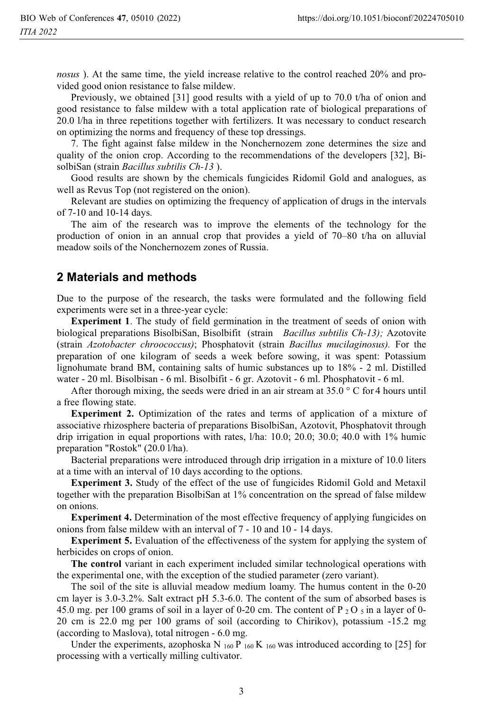*nosus* ). At the same time, the yield increase relative to the control reached 20% and provided good onion resistance to false mildew.

Previously, we obtained [31] good results with a yield of up to 70.0 t/ha of onion and good resistance to false mildew with a total application rate of biological preparations of 20.0 l/ha in three repetitions together with fertilizers. It was necessary to conduct research on optimizing the norms and frequency of these top dressings.

7. The fight against false mildew in the Nonchernozem zone determines the size and quality of the onion crop. According to the recommendations of the developers [32], BisolbiSan (strain *Bacillus subtilis Ch-13* ).

Good results are shown by the chemicals fungicides Ridomil Gold and analogues, as well as Revus Top (not registered on the onion).

Relevant are studies on optimizing the frequency of application of drugs in the intervals of 7-10 and 10-14 days.

The aim of the research was to improve the elements of the technology for the production of onion in an annual crop that provides a yield of 70–80 t/ha on alluvial meadow soils of the Nonchernozem zones of Russia.

#### **2 Materials and methods**

Due to the purpose of the research, the tasks were formulated and the following field experiments were set in a three-year cycle:

**Experiment 1**. The study of field germination in the treatment of seeds of onion with biological preparations BisolbiSan, Bisolbifit (strain *Bacillus subtilis Ch-13);* Azotovite (strain *Azotobacter chroococcus)*; Phosphatovit (strain *Bacillus mucilaginosus).* For the preparation of one kilogram of seeds a week before sowing, it was spent: Potassium lignohumate brand BM, containing salts of humic substances up to 18% - 2 ml. Distilled water - 20 ml. Bisolbisan - 6 ml. Bisolbifit - 6 gr. Azotovit - 6 ml. Phosphatovit - 6 ml.

After thorough mixing, the seeds were dried in an air stream at  $35.0\degree$  C for 4 hours until a free flowing state.

**Experiment 2.** Optimization of the rates and terms of application of a mixture of associative rhizosphere bacteria of preparations BisolbiSan, Azotovit, Phosphatovit through drip irrigation in equal proportions with rates, l/ha: 10.0; 20.0; 30.0; 40.0 with 1% humic preparation "Rostok" (20.0 l/ha).

Bacterial preparations were introduced through drip irrigation in a mixture of 10.0 liters at a time with an interval of 10 days according to the options.

**Experiment 3.** Study of the effect of the use of fungicides Ridomil Gold and Metaxil together with the preparation BisolbiSan at 1% concentration on the spread of false mildew on onions.

**Experiment 4.** Determination of the most effective frequency of applying fungicides on onions from false mildew with an interval of 7 - 10 and 10 - 14 days.

**Experiment 5.** Evaluation of the effectiveness of the system for applying the system of herbicides on crops of onion.

**The control** variant in each experiment included similar technological operations with the experimental one, with the exception of the studied parameter (zero variant).

The soil of the site is alluvial meadow medium loamy. The humus content in the 0-20 cm layer is 3.0-3.2%. Salt extract pH 5.3-6.0. The content of the sum of absorbed bases is 45.0 mg. per 100 grams of soil in a layer of 0-20 cm. The content of P  $_2$  O  $_5$  in a layer of 0-20 cm is 22.0 mg per 100 grams of soil (according to Chirikov), potassium -15.2 mg (according to Maslova), total nitrogen - 6.0 mg.

Under the experiments, azophoska N  $_{160}$  P  $_{160}$  K  $_{160}$  was introduced according to [25] for processing with a vertically milling cultivator.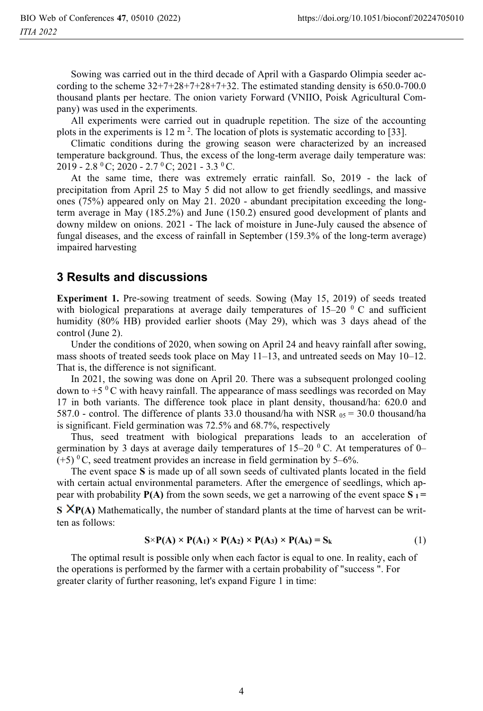Sowing was carried out in the third decade of April with a Gaspardo Olimpia seeder according to the scheme  $32+7+28+7+28+7+32$ . The estimated standing density is 650.0-700.0 thousand plants per hectare. The onion variety Forward (VNIIO, Poisk Agricultural Company) was used in the experiments.

All experiments were carried out in quadruple repetition. The size of the accounting plots in the experiments is  $12 \text{ m}^2$ . The location of plots is systematic according to [33].

Climatic conditions during the growing season were characterized by an increased temperature background. Thus, the excess of the long-term average daily temperature was:  $2019 - 2.8 \text{ }^0\text{C}$ ;  $2020 - 2.7 \text{ }^0\text{C}$ ;  $2021 - 3.3 \text{ }^0\text{C}$ .

At the same time, there was extremely erratic rainfall. So, 2019 - the lack of precipitation from April 25 to May 5 did not allow to get friendly seedlings, and massive ones (75%) appeared only on May 21. 2020 - abundant precipitation exceeding the longterm average in May (185.2%) and June (150.2) ensured good development of plants and downy mildew on onions. 2021 - The lack of moisture in June-July caused the absence of fungal diseases, and the excess of rainfall in September (159.3% of the long-term average) impaired harvesting

### **3 Results and discussions**

**Experiment 1.** Pre-sowing treatment of seeds. Sowing (May 15, 2019) of seeds treated with biological preparations at average daily temperatures of  $15-20$  ° C and sufficient humidity (80% HB) provided earlier shoots (May 29), which was 3 days ahead of the control (June 2).

Under the conditions of 2020, when sowing on April 24 and heavy rainfall after sowing, mass shoots of treated seeds took place on May 11–13, and untreated seeds on May 10–12. That is, the difference is not significant.

In 2021, the sowing was done on April 20. There was a subsequent prolonged cooling down to  $+5$  °C with heavy rainfall. The appearance of mass seedlings was recorded on May 17 in both variants. The difference took place in plant density, thousand/ha: 620.0 and 587.0 - control. The difference of plants 33.0 thousand/ha with NSR  $_{05}$  = 30.0 thousand/ha is significant. Field germination was 72.5% and 68.7%, respectively

Thus, seed treatment with biological preparations leads to an acceleration of germination by 3 days at average daily temperatures of  $15-20$  °C. At temperatures of 0–  $(+5)$ <sup>0</sup>C, seed treatment provides an increase in field germination by 5–6%.

The event space **S** is made up of all sown seeds of cultivated plants located in the field with certain actual environmental parameters. After the emergence of seedlings, which appear with probability  $P(A)$  from the sown seeds, we get a narrowing of the event space  $S_1 =$ 

**S**  $XP(A)$  Mathematically, the number of standard plants at the time of harvest can be written as follows:

$$
S \times P(A) \times P(A_1) \times P(A_2) \times P(A_3) \times P(A_k) = S_k
$$
 (1)

The optimal result is possible only when each factor is equal to one. In reality, each of the operations is performed by the farmer with a certain probability of "success ". For greater clarity of further reasoning, let's expand Figure 1 in time: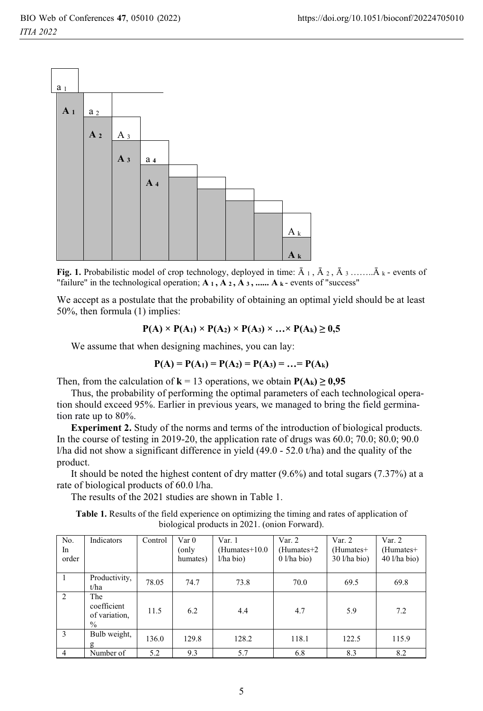

**Fig. 1.** Probabilistic model of crop technology, deployed in time:  $\overline{A}_1$ ,  $\overline{A}_2$ ,  $\overline{A}_3$  ........ $\overline{A}_k$  - events of "success" "failure" in the technological operation;  $A_1$ ,  $A_2$ ,  $A_3$ , ......  $A_k$ - events of "success"

We accept as a postulate that the probability of obtaining an optimal yield should be at least 50%, then formula (1) implies:

$$
P(A) \times P(A_1) \times P(A_2) \times P(A_3) \times ... \times P(A_k) \ge 0,5
$$

We assume that when designing machines, you can lay:

$$
P(A) = P(A_1) = P(A_2) = P(A_3) = ... = P(A_k)
$$

Then, from the calculation of  $\mathbf{k} = 13$  operations, we obtain  $\mathbf{P}(\mathbf{A_k}) \ge \text{Thus, the probability of performing the optimal parameters of } \mathbf{e}$ 

Thus, the probability of performing the optimal parameters of each technological operation should exceed 95%. Earlier in previous years, we managed to bring the field germination rate up to 80%.

**Experiment 2.** Study of the norms and terms of the introduction of biological products. In the course of testing in 2019-20, the application rate of drugs was 60.0; 70.0; 80.0; 90.0 *l*/ha did not show a significant difference in yield (49.0 - 52.0 t/ha) and the quality of the product.

It should be noted the highest content of dry matter (9.6%) and total sugars (7.37%) at a rate of biological products of 60.0 l/ha.

The results of the 2021 studies are shown in Table 1.

**Table 1.** Results of the field experience on optimizing the timing and rates of application of biological products in 2021. (onion Forward).

| No.<br>In<br>order | Indicators                                  | Control | Var <sub>0</sub><br>(only<br>humates) | Var. 1<br>$(Humates+10.0)$<br>1/ha bio) | Var. 2<br>$(Humates + 2)$<br>$0 \frac{1}{ha}$ bio) | Var. 2<br>$(Humates+$<br>$30$ l/ha bio) | Var. 2<br>$(Humates+$<br>$40$ l/ha bio) |
|--------------------|---------------------------------------------|---------|---------------------------------------|-----------------------------------------|----------------------------------------------------|-----------------------------------------|-----------------------------------------|
|                    | Productivity,<br>t/ha                       | 78.05   | 74.7                                  | 73.8                                    | 70.0                                               | 69.5                                    | 69.8                                    |
| 2                  | The<br>coefficient<br>of variation,<br>$\%$ | 11.5    | 6.2                                   | 4.4                                     | 4.7                                                | 5.9                                     | 7.2                                     |
| $\mathbf{3}$       | Bulb weight,<br>g                           | 136.0   | 129.8                                 | 128.2                                   | 118.1                                              | 122.5                                   | 115.9                                   |
| $\overline{4}$     | Number of                                   | 5.2     | 9.3                                   | 5.7                                     | 6.8                                                | 8.3                                     | 8.2                                     |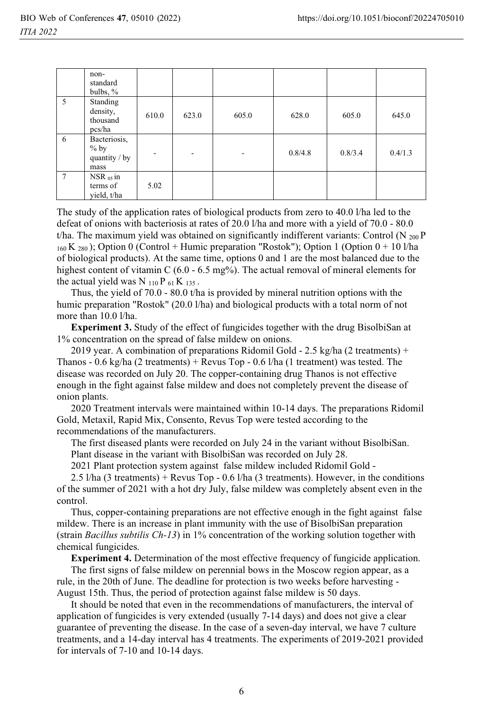|   | non-<br>standard<br>bulbs, $\%$                 |       |       |       |         |         |         |
|---|-------------------------------------------------|-------|-------|-------|---------|---------|---------|
| 5 | Standing<br>density,<br>thousand<br>pcs/ha      | 610.0 | 623.0 | 605.0 | 628.0   | 605.0   | 645.0   |
| 6 | Bacteriosis,<br>$%$ by<br>quantity / by<br>mass |       | ۰     | -     | 0.8/4.8 | 0.8/3.4 | 0.4/1.3 |
| 7 | $NSR_{05}$ in<br>terms of<br>vield, t/ha        | 5.02  |       |       |         |         |         |

The study of the application rates of biological products from zero to 40.0 l/ha led to the defeat of onions with bacteriosis at rates of 20.0 l/ha and more with a yield of 70.0 - 80.0 t/ha. The maximum yield was obtained on significantly indifferent variants: Control (N  $_{200}$ P)  $_{160}$  K  $_{280}$ ); Option 0 (Control + Humic preparation "Rostok"); Option 1 (Option 0 + 10 l/ha of biological products). At the same time, options 0 and 1 are the most balanced due to the highest content of vitamin C (6.0 - 6.5 mg%). The actual removal of mineral elements for the actual yield was N  $_{110}$  P  $_{61}$  K  $_{135}$ .

Thus, the yield of 70.0 - 80.0 t/ha is provided by mineral nutrition options with the humic preparation "Rostok" (20.0 l/ha) and biological products with a total norm of not more than 10.0 l/ha.

**Experiment 3.** Study of the effect of fungicides together with the drug BisolbiSan at 1% concentration on the spread of false mildew on onions.

2019 year. A combination of preparations Ridomil Gold - 2.5 kg/ha (2 treatments) + Thanos - 0.6 kg/ha (2 treatments) + Revus Top - 0.6 l/ha (1 treatment) was tested. The disease was recorded on July 20. The copper-containing drug Thanos is not effective enough in the fight against false mildew and does not completely prevent the disease of onion plants.

2020 Treatment intervals were maintained within 10-14 days. The preparations Ridomil Gold, Metaxil, Rapid Mix, Consento, Revus Top were tested according to the recommendations of the manufacturers.

The first diseased plants were recorded on July 24 in the variant without BisolbiSan. Plant disease in the variant with BisolbiSan was recorded on July 28.

2021 Plant protection system against false mildew included Ridomil Gold -

2.5 l/ha (3 treatments) + Revus Top - 0.6 l/ha (3 treatments). However, in the conditions of the summer of 2021 with a hot dry July, false mildew was completely absent even in the control.

Thus, copper-containing preparations are not effective enough in the fight against false mildew. There is an increase in plant immunity with the use of BisolbiSan preparation (strain *Bacillus subtilis Ch-13*) in 1% concentration of the working solution together with chemical fungicides.

**Experiment 4.** Determination of the most effective frequency of fungicide application.

The first signs of false mildew on perennial bows in the Moscow region appear, as a rule, in the 20th of June. The deadline for protection is two weeks before harvesting - August 15th. Thus, the period of protection against false mildew is 50 days.

It should be noted that even in the recommendations of manufacturers, the interval of application of fungicides is very extended (usually 7-14 days) and does not give a clear guarantee of preventing the disease. In the case of a seven-day interval, we have 7 culture treatments, and a 14-day interval has 4 treatments. The experiments of 2019-2021 provided for intervals of 7-10 and 10-14 days.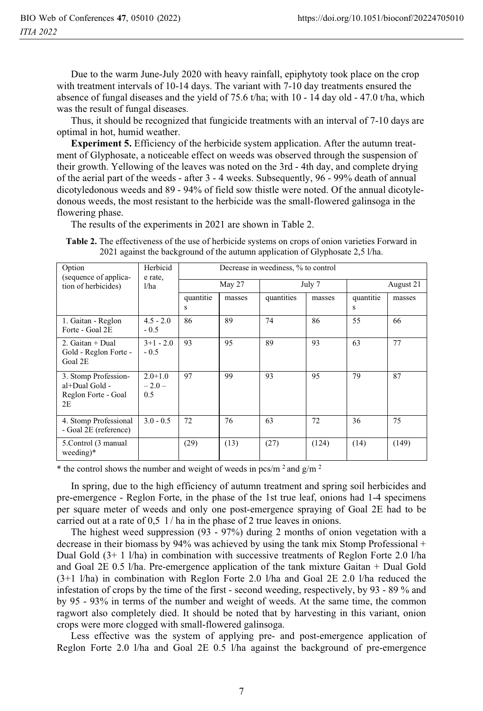Due to the warm June-July 2020 with heavy rainfall, epiphytoty took place on the crop with treatment intervals of 10-14 days. The variant with 7-10 day treatments ensured the absence of fungal diseases and the yield of 75.6 t/ha; with 10 - 14 day old - 47.0 t/ha, which was the result of fungal diseases.

Thus, it should be recognized that fungicide treatments with an interval of 7-10 days are optimal in hot, humid weather.

**Experiment 5.** Efficiency of the herbicide system application. After the autumn treatment of Glyphosate, a noticeable effect on weeds was observed through the suspension of their growth. Yellowing of the leaves was noted on the 3rd - 4th day, and complete drying of the aerial part of the weeds - after 3 - 4 weeks. Subsequently, 96 - 99% death of annual dicotyledonous weeds and 89 - 94% of field sow thistle were noted. Of the annual dicotyledonous weeds, the most resistant to the herbicide was the small-flowered galinsoga in the flowering phase.

The results of the experiments in 2021 are shown in Table 2.

**Table 2.** The effectiveness of the use of herbicide systems on crops of onion varieties Forward in 2021 against the background of the autumn application of Glyphosate 2,5 l/ha.

| Option<br>(sequence of applica-                                     | Herbicid<br>e rate,<br>1/ha   | Decrease in weediness, % to control |        |            |        |                |        |
|---------------------------------------------------------------------|-------------------------------|-------------------------------------|--------|------------|--------|----------------|--------|
| tion of herbicides)                                                 |                               | May 27                              |        | July 7     |        | August 21      |        |
|                                                                     |                               | quantitie<br>S                      | masses | quantities | masses | quantitie<br>s | masses |
| 1. Gaitan - Reglon<br>Forte - Goal 2E                               | $4.5 - 2.0$<br>$-0.5$         | 86                                  | 89     | 74         | 86     | 55             | 66     |
| 2. Gaitan $+$ Dual<br>Gold - Reglon Forte -<br>Goal 2E              | $3+1 - 2.0$<br>$-0.5$         | 93                                  | 95     | 89         | 93     | 63             | 77     |
| 3. Stomp Profession-<br>al+Dual Gold -<br>Reglon Forte - Goal<br>2E | $2.0 + 1.0$<br>$-2.0-$<br>0.5 | 97                                  | 99     | 93         | 95     | 79             | 87     |
| 4. Stomp Professional<br>- Goal 2E (reference)                      | $3.0 - 0.5$                   | 72                                  | 76     | 63         | 72     | 36             | 75     |
| 5. Control (3 manual)<br>weeding)*                                  |                               | (29)                                | (13)   | (27)       | (124)  | (14)           | (149)  |

\* the control shows the number and weight of weeds in pcs/m<sup>2</sup> and  $g/m<sup>2</sup>$ 

In spring, due to the high efficiency of autumn treatment and spring soil herbicides and pre-emergence - Reglon Forte, in the phase of the 1st true leaf, onions had 1-4 specimens per square meter of weeds and only one post-emergence spraying of Goal 2E had to be carried out at a rate of  $0.5 \frac{1}{h}$  in the phase of 2 true leaves in onions.

The highest weed suppression (93 - 97%) during 2 months of onion vegetation with a decrease in their biomass by 94% was achieved by using the tank mix Stomp Professional + Dual Gold  $(3+1)$ /ha) in combination with successive treatments of Reglon Forte 2.0 *l*/ha and Goal 2E 0.5 l/ha. Pre-emergence application of the tank mixture Gaitan + Dual Gold (3+1 l/ha) in combination with Reglon Forte 2.0 l/ha and Goal 2E 2.0 l/ha reduced the infestation of crops by the time of the first - second weeding, respectively, by 93 - 89 % and by 95 - 93% in terms of the number and weight of weeds. At the same time, the common ragwort also completely died. It should be noted that by harvesting in this variant, onion crops were more clogged with small-flowered galinsoga.

Less effective was the system of applying pre- and post-emergence application of Reglon Forte 2.0 l/ha and Goal 2E 0.5 l/ha against the background of pre-emergence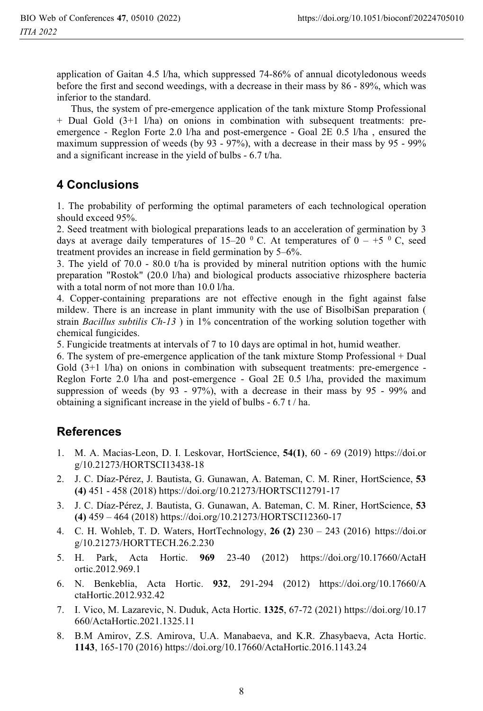application of Gaitan 4.5 l/ha, which suppressed 74-86% of annual dicotyledonous weeds before the first and second weedings, with a decrease in their mass by 86 - 89%, which was inferior to the standard.

Thus, the system of pre-emergence application of the tank mixture Stomp Professional + Dual Gold (3+1 l/ha) on onions in combination with subsequent treatments: preemergence - Reglon Forte 2.0 l/ha and post-emergence - Goal 2E 0.5 l/ha , ensured the maximum suppression of weeds (by 93 - 97%), with a decrease in their mass by 95 - 99% and a significant increase in the yield of bulbs - 6.7 t/ha.

## **4 Conclusions**

1. The probability of performing the optimal parameters of each technological operation should exceed 95%.

2. Seed treatment with biological preparations leads to an acceleration of germination by 3 days at average daily temperatures of 15–20  $\,^0$  C. At temperatures of 0 – +5  $\,^0$  C, seed treatment provides an increase in field germination by 5–6%.

3. The yield of 70.0 - 80.0 t/ha is provided by mineral nutrition options with the humic preparation "Rostok" (20.0 l/ha) and biological products associative rhizosphere bacteria with a total norm of not more than 10.0 l/ha.

4. Copper-containing preparations are not effective enough in the fight against false mildew. There is an increase in plant immunity with the use of BisolbiSan preparation ( strain *Bacillus subtilis Ch-13*) in 1% concentration of the working solution together with chemical fungicides.

5. Fungicide treatments at intervals of 7 to 10 days are optimal in hot, humid weather.

6. The system of pre-emergence application of the tank mixture Stomp Professional + Dual Gold  $(3+1)$  l/ha) on onions in combination with subsequent treatments: pre-emergence -Reglon Forte 2.0 l/ha and post-emergence - Goal 2E 0.5 l/ha, provided the maximum suppression of weeds (by 93 - 97%), with a decrease in their mass by 95 - 99% and obtaining a significant increase in the yield of bulbs - 6.7 t / ha.

## **References**

- 1. M. A. Macias-Leon, D. I. Leskovar, HortScience, **54(1)**, 60 69 (2019) https://doi.or g/10.21273/HORTSCI13438-18
- 2. J. C. Díaz-Pérez, J. Bautista, G. Gunawan, A. Bateman, C. M. Riner, HortScience, **53 (4)** 451 - 458 (2018) https://doi.org/10.21273/HORTSCI12791-17
- 3. J. C. Díaz-Pérez, J. Bautista, G. Gunawan, A. Bateman, C. M. Riner, HortScience, **53 (4)** 459 – 464 (2018) https://doi.org/10.21273/HORTSCI12360-17
- 4. C. H. Wohleb, T. D. Waters, HortTechnology, **26 (2)** 230 243 (2016) https://doi.or g/10.21273/HORTTECH.26.2.230
- 5. H. Park, Acta Hortic. **969** 23-40 (2012) https://doi.org/10.17660/ActaH ortic.2012.969.1
- 6. N. Benkeblia, Acta Hortic. **932**, 291-294 (2012) https://doi.org/10.17660/A ctaHortic.2012.932.42
- 7. I. Vico, M. Lazarevic, N. Duduk, Acta Hortic. **1325**, 67-72 (2021) https://doi.org/10.17 660/ActaHortic.2021.1325.11
- 8. B.M Amirov, Z.S. Amirova, U.A. Manabaeva, and K.R. Zhasybaeva, Acta Hortic. **1143**, 165-170 (2016) https://doi.org/10.17660/ActaHortic.2016.1143.24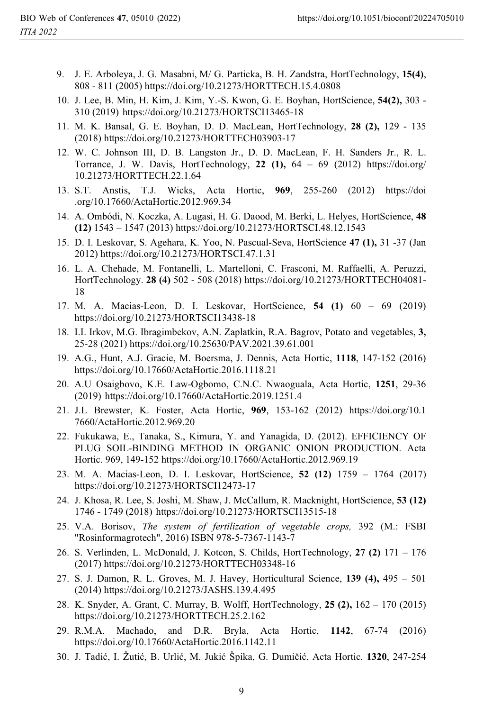- 9. J. E. Arboleya, J. G. Masabni, M/ G. Particka, B. H. Zandstra, HortTechnology, **15(4)**, 808 - 811 (2005) https://doi.org/10.21273/HORTTECH.15.4.0808
- 10. J. Lee, B. Min, H. Kim, J. Kim, Y.-S. Kwon, G. E. Boyhan**,** HortScience, **54(2),** 303 310 (2019) https://doi.org/10.21273/HORTSCI13465-18
- 11. M. K. Bansal, G. E. Boyhan, D. D. MacLean, HortTechnology, **28 (2),** 129 135 (2018) https://doi.org/10.21273/HORTTECH03903-17
- 12. W. C. Johnson III, D. B. Langston Jr., D. D. MacLean, F. H. Sanders Jr., R. L. Torrance, J. W. Davis, HortTechnology, **22 (1),** 64 – 69 (2012) https://doi.org/ 10.21273/HORTTECH.22.1.64
- 13. S.T. Anstis, T.J. Wicks, Acta Hortic, **969**, 255-260 (2012) https://doi .org/10.17660/ActaHortic.2012.969.34
- 14. A. Ombódi, N. Koczka, A. Lugasi, H. G. Daood, M. Berki, L. Helyes, HortScience, **48 (12)** 1543 – 1547 (2013) https://doi.org/10.21273/HORTSCI.48.12.1543
- 15. D. I. Leskovar, S. Agehara, K. Yoo, N. Pascual-Seva, HortScience **47 (1),** 31 -37 (Jan 2012) https://doi.org/10.21273/HORTSCI.47.1.31
- 16. L. A. Chehade, M. Fontanelli, L. Martelloni, C. Frasconi, M. Raffaelli, A. Peruzzi, HortTechnology. **28 (4)** 502 - 508 (2018) https://doi.org/10.21273/HORTTECH04081- 18
- 17. M. A. Macias-Leon, D. I. Leskovar, HortScience, **54 (1)** 60 69 (2019) https://doi.org/10.21273/HORTSCI13438-18
- 18. I.I. Irkov, M.G. Ibragimbekov, A.N. Zaplatkin, R.A. Bagrov, Potato and vegetables, **3,** 25-28 (2021) https://doi.org/10.25630/PAV.2021.39.61.001
- 19. A.G., Hunt, A.J. Gracie, M. Boersma, J. Dennis, Acta Hortic, **1118**, 147-152 (2016) https://doi.org/10.17660/ActaHortic.2016.1118.21
- 20. A.U Osaigbovo, K.E. Law-Ogbomo, C.N.C. Nwaoguala, Acta Hortic, **1251**, 29-36 (2019) https://doi.org/10.17660/ActaHortic.2019.1251.4
- 21. J.L Brewster, K. Foster, Acta Hortic, **969**, 153-162 (2012) https://doi.org/10.1 7660/ActaHortic.2012.969.20
- 22. Fukukawa, E., Tanaka, S., Kimura, Y. and Yanagida, D. (2012). EFFICIENCY OF PLUG SOIL-BINDING METHOD IN ORGANIC ONION PRODUCTION. Acta Hortic. 969, 149-152 https://doi.org/10.17660/ActaHortic.2012.969.19
- 23. M. A. Macias-Leon, D. I. Leskovar, HortScience, **52 (12)** 1759 1764 (2017) https://doi.org/10.21273/HORTSCI12473-17
- 24. J. Khosa, R. Lee, S. Joshi, M. Shaw, J. McCallum, R. Macknight, HortScience, **53 (12)**  1746 - 1749 (2018) https://doi.org/10.21273/HORTSCI13515-18
- 25. V.A. Borisov, *The system of fertilization of vegetable crops,* 392 (M.: FSBI "Rosinformagrotech", 2016) ISBN 978-5-7367-1143-7
- 26. S. Verlinden, L. McDonald, J. Kotcon, S. Childs, HortTechnology, **27 (2)** 171 176 (2017) https://doi.org/10.21273/HORTTECH03348-16
- 27. S. J. Damon, R. L. Groves, M. J. Havey, Horticultural Science, **139 (4),** 495 501 (2014) https://doi.org/10.21273/JASHS.139.4.495
- 28. K. Snyder, A. Grant, C. Murray, B. Wolff, HortTechnology, **25 (2),** 162 170 (2015) https://doi.org/10.21273/HORTTECH.25.2.162
- 29. R.M.A. Machado, and D.R. Bryla, Acta Hortic, **1142**, 67-74 (2016) https://doi.org/10.17660/ActaHortic.2016.1142.11
- 30. J. Tadić, I. Žutić, B. Urlić, M. Jukić Špika, G. Dumičić, Acta Hortic. **1320**, 247-254